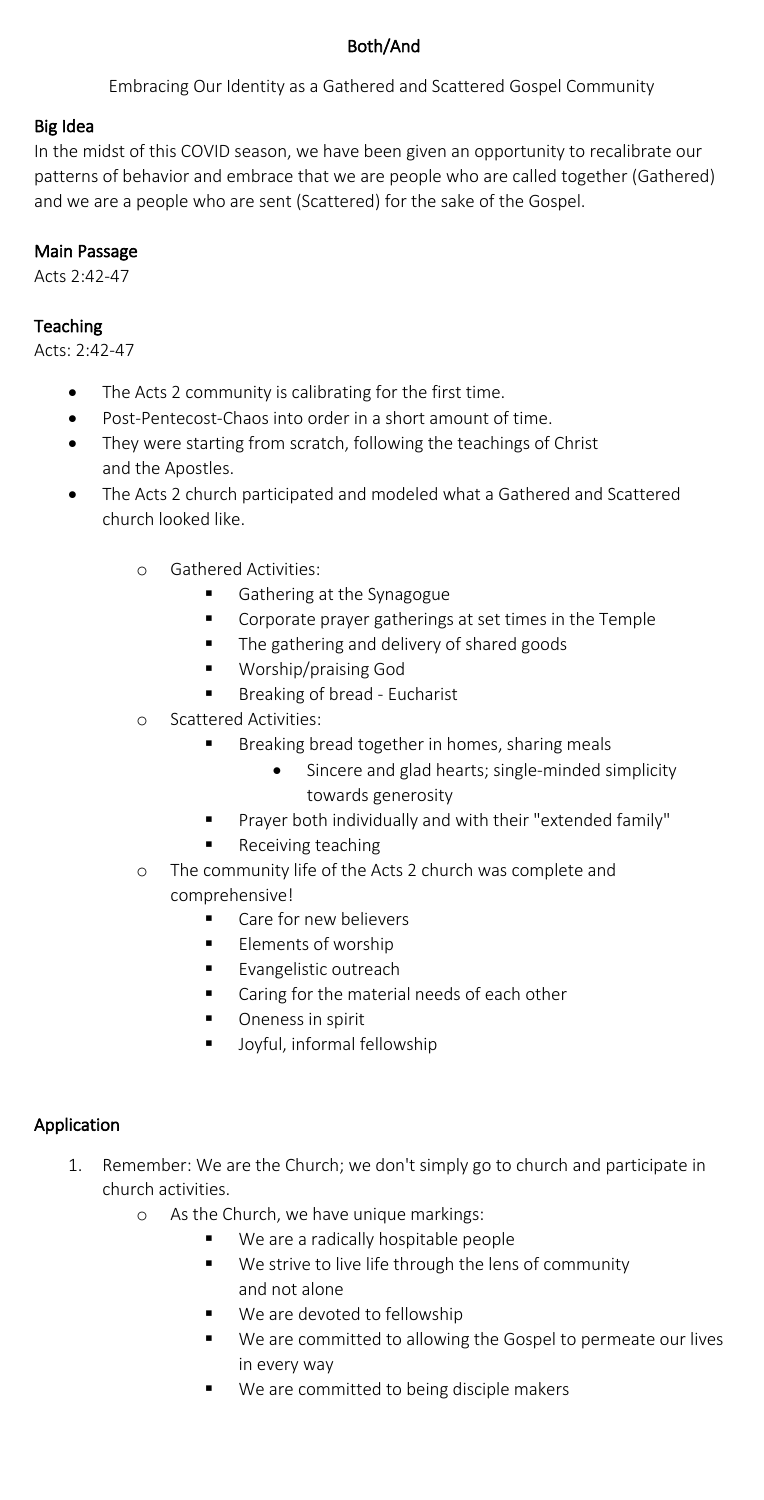# Both/And

Embracing Our Identity as a Gathered and Scattered Gospel Community

#### Big Idea

In the midst of this COVID season, we have been given an opportunity to recalibrate our patterns of behavior and embrace that we are people who are called together (Gathered) and we are a people who are sent (Scattered) for the sake of the Gospel.

#### Main Passage

Acts 2:42-47

## **Teaching**

Acts: 2:42-47

- The Acts 2 community is calibrating for the first time.
- Post-Pentecost-Chaos into order in a short amount of time.
- They were starting from scratch, following the teachings of Christ and the Apostles.
- The Acts 2 church participated and modeled what a Gathered and Scattered church looked like.
	- o Gathered Activities:
		- Gathering at the Synagogue
		- § Corporate prayer gatherings at set times in the Temple
		- The gathering and delivery of shared goods
		- § Worship/praising God
		- Breaking of bread Eucharist
	- o Scattered Activities:
		- Breaking bread together in homes, sharing meals
			- Sincere and glad hearts; single-minded simplicity towards generosity
		- Prayer both individually and with their "extended family"
		- § Receiving teaching
	- o The community life of the Acts 2 church was complete and comprehensive!
		- Care for new believers
		- Elements of worship
		- **Exangelistic outreach**
		- Caring for the material needs of each other
		- Oneness in spirit
		- Joyful, informal fellowship

## Application

- 1. Remember: We are the Church; we don't simply go to church and participate in church activities.
	- o As the Church, we have unique markings:
		- We are a radically hospitable people
		- We strive to live life through the lens of community and not alone
		- We are devoted to fellowship
		- We are committed to allowing the Gospel to permeate our lives in every way
		- We are committed to being disciple makers